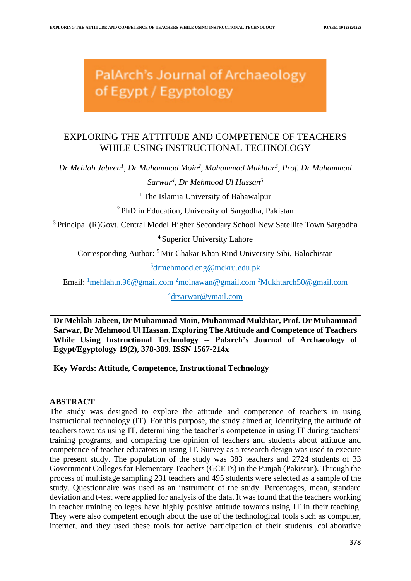# PalArch's Journal of Archaeology of Egypt / Egyptology

# EXPLORING THE ATTITUDE AND COMPETENCE OF TEACHERS WHILE USING INSTRUCTIONAL TECHNOLOGY

*Dr Mehlah Jabeen<sup>1</sup> , Dr Muhammad Moin<sup>2</sup> , Muhammad Mukhtar<sup>3</sup> , Prof. Dr Muhammad* 

# *Sarwar<sup>4</sup> , Dr Mehmood Ul Hassan<sup>5</sup>*

<sup>1</sup> The Islamia University of Bahawalpur

<sup>2</sup>PhD in Education, University of Sargodha, Pakistan

<sup>3</sup> Principal (R)Govt. Central Model Higher Secondary School New Satellite Town Sargodha

<sup>4</sup> Superior University Lahore

Corresponding Author: <sup>5</sup>Mir Chakar Khan Rind University Sibi, Balochistan

<sup>5</sup>[drmehmood.eng@mckru.edu.pk](mailto:drmehmood.eng@mckru.edu.pk)

Email: <sup>1</sup>[mehlah.n.96@gmail.com](mailto:mehlah.n.96@gmail.com) <sup>2</sup>[moinawan@gmail.com](mailto:Mukhtarch50@gmail.com) <sup>3</sup>[Mukhtarch50@gmail.com](mailto:Mukhtarch50@gmail.com)

<sup>4</sup>[drsarwar@ymail.com](mailto:drsarwar@ymail.com)

**Dr Mehlah Jabeen, Dr Muhammad Moin, Muhammad Mukhtar, Prof. Dr Muhammad Sarwar, Dr Mehmood Ul Hassan. Exploring The Attitude and Competence of Teachers While Using Instructional Technology -- Palarch's Journal of Archaeology of Egypt/Egyptology 19(2), 378-389. ISSN 1567-214x**

**Key Words: Attitude, Competence, Instructional Technology**

## **ABSTRACT**

The study was designed to explore the attitude and competence of teachers in using instructional technology (IT). For this purpose, the study aimed at; identifying the attitude of teachers towards using IT, determining the teacher's competence in using IT during teachers' training programs, and comparing the opinion of teachers and students about attitude and competence of teacher educators in using IT. Survey as a research design was used to execute the present study. The population of the study was 383 teachers and 2724 students of 33 Government Colleges for Elementary Teachers (GCETs) in the Punjab (Pakistan). Through the process of multistage sampling 231 teachers and 495 students were selected as a sample of the study. Questionnaire was used as an instrument of the study. Percentages, mean, standard deviation and t-test were applied for analysis of the data. It was found that the teachers working in teacher training colleges have highly positive attitude towards using IT in their teaching. They were also competent enough about the use of the technological tools such as computer, internet, and they used these tools for active participation of their students, collaborative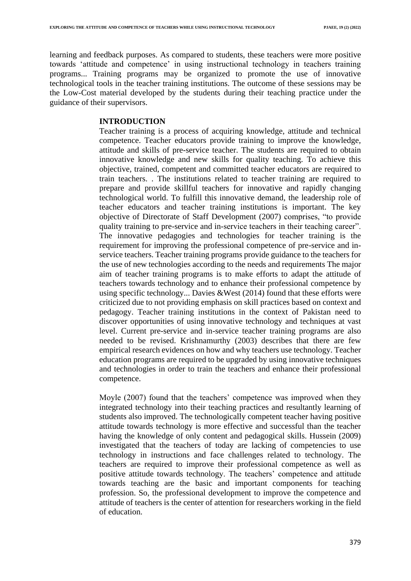learning and feedback purposes. As compared to students, these teachers were more positive towards 'attitude and competence' in using instructional technology in teachers training programs... Training programs may be organized to promote the use of innovative technological tools in the teacher training institutions. The outcome of these sessions may be the Low-Cost material developed by the students during their teaching practice under the guidance of their supervisors.

## **INTRODUCTION**

Teacher training is a process of acquiring knowledge, attitude and technical competence. Teacher educators provide training to improve the knowledge, attitude and skills of pre-service teacher. The students are required to obtain innovative knowledge and new skills for quality teaching. To achieve this objective, trained, competent and committed teacher educators are required to train teachers. . The institutions related to teacher training are required to prepare and provide skillful teachers for innovative and rapidly changing technological world. To fulfill this innovative demand, the leadership role of teacher educators and teacher training institutions is important. The key objective of Directorate of Staff Development (2007) comprises, "to provide quality training to pre-service and in-service teachers in their teaching career". The innovative pedagogies and technologies for teacher training is the requirement for improving the professional competence of pre-service and inservice teachers. Teacher training programs provide guidance to the teachers for the use of new technologies according to the needs and requirements The major aim of teacher training programs is to make efforts to adapt the attitude of teachers towards technology and to enhance their professional competence by using specific technology... Davies &West (2014) found that these efforts were criticized due to not providing emphasis on skill practices based on context and pedagogy. Teacher training institutions in the context of Pakistan need to discover opportunities of using innovative technology and techniques at vast level. Current pre-service and in-service teacher training programs are also needed to be revised. Krishnamurthy (2003) describes that there are few empirical research evidences on how and why teachers use technology. Teacher education programs are required to be upgraded by using innovative techniques and technologies in order to train the teachers and enhance their professional competence.

Moyle (2007) found that the teachers' competence was improved when they integrated technology into their teaching practices and resultantly learning of students also improved. The technologically competent teacher having positive attitude towards technology is more effective and successful than the teacher having the knowledge of only content and pedagogical skills. Hussein (2009) investigated that the teachers of today are lacking of competencies to use technology in instructions and face challenges related to technology. The teachers are required to improve their professional competence as well as positive attitude towards technology. The teachers' competence and attitude towards teaching are the basic and important components for teaching profession. So, the professional development to improve the competence and attitude of teachers is the center of attention for researchers working in the field of education.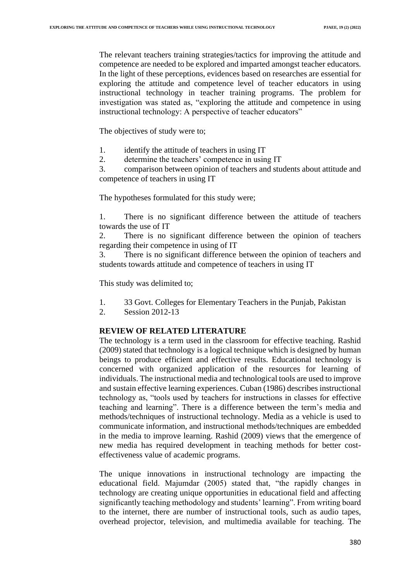The relevant teachers training strategies/tactics for improving the attitude and competence are needed to be explored and imparted amongst teacher educators. In the light of these perceptions, evidences based on researches are essential for exploring the attitude and competence level of teacher educators in using instructional technology in teacher training programs. The problem for investigation was stated as, "exploring the attitude and competence in using instructional technology: A perspective of teacher educators"

The objectives of study were to;

- 1. identify the attitude of teachers in using IT
- 2. determine the teachers' competence in using IT

3. comparison between opinion of teachers and students about attitude and competence of teachers in using IT

The hypotheses formulated for this study were;

1. There is no significant difference between the attitude of teachers towards the use of IT

2. There is no significant difference between the opinion of teachers regarding their competence in using of IT

3. There is no significant difference between the opinion of teachers and students towards attitude and competence of teachers in using IT

This study was delimited to;

- 1. 33 Govt. Colleges for Elementary Teachers in the Punjab, Pakistan
- 2. Session 2012-13

## **REVIEW OF RELATED LITERATURE**

The technology is a term used in the classroom for effective teaching. Rashid (2009) stated that technology is a logical technique which is designed by human beings to produce efficient and effective results. Educational technology is concerned with organized application of the resources for learning of individuals. The instructional media and technological tools are used to improve and sustain effective learning experiences. Cuban (1986) describes instructional technology as, "tools used by teachers for instructions in classes for effective teaching and learning". There is a difference between the term's media and methods/techniques of instructional technology. Media as a vehicle is used to communicate information, and instructional methods/techniques are embedded in the media to improve learning. Rashid (2009) views that the emergence of new media has required development in teaching methods for better costeffectiveness value of academic programs.

The unique innovations in instructional technology are impacting the educational field. Majumdar (2005) stated that, "the rapidly changes in technology are creating unique opportunities in educational field and affecting significantly teaching methodology and students' learning". From writing board to the internet, there are number of instructional tools, such as audio tapes, overhead projector, television, and multimedia available for teaching. The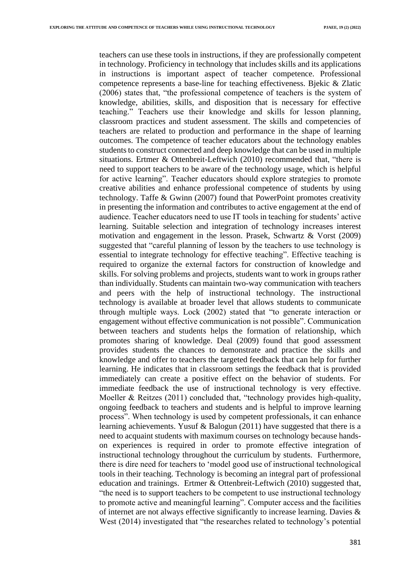teachers can use these tools in instructions, if they are professionally competent in technology. Proficiency in technology that includes skills and its applications in instructions is important aspect of teacher competence. Professional competence represents a base-line for teaching effectiveness. Bjekic & Zlatic (2006) states that, "the professional competence of teachers is the system of knowledge, abilities, skills, and disposition that is necessary for effective teaching." Teachers use their knowledge and skills for lesson planning, classroom practices and student assessment. The skills and competencies of teachers are related to production and performance in the shape of learning outcomes. The competence of teacher educators about the technology enables students to construct connected and deep knowledge that can be used in multiple situations. Ertmer & Ottenbreit-Leftwich (2010) recommended that, "there is need to support teachers to be aware of the technology usage, which is helpful for active learning". Teacher educators should explore strategies to promote creative abilities and enhance professional competence of students by using technology. Taffe & Gwinn (2007) found that PowerPoint promotes creativity in presenting the information and contributes to active engagement at the end of audience. Teacher educators need to use IT tools in teaching for students' active learning. Suitable selection and integration of technology increases interest motivation and engagement in the lesson. Prasek, Schwartz & Vorst (2009) suggested that "careful planning of lesson by the teachers to use technology is essential to integrate technology for effective teaching". Effective teaching is required to organize the external factors for construction of knowledge and skills. For solving problems and projects, students want to work in groups rather than individually. Students can maintain two-way communication with teachers and peers with the help of instructional technology. The instructional technology is available at broader level that allows students to communicate through multiple ways. Lock (2002) stated that "to generate interaction or engagement without effective communication is not possible". Communication between teachers and students helps the formation of relationship, which promotes sharing of knowledge. Deal (2009) found that good assessment provides students the chances to demonstrate and practice the skills and knowledge and offer to teachers the targeted feedback that can help for further learning. He indicates that in classroom settings the feedback that is provided immediately can create a positive effect on the behavior of students. For immediate feedback the use of instructional technology is very effective. Moeller & Reitzes (2011) concluded that, "technology provides high-quality, ongoing feedback to teachers and students and is helpful to improve learning process". When technology is used by competent professionals, it can enhance learning achievements. Yusuf & Balogun (2011) have suggested that there is a need to acquaint students with maximum courses on technology because handson experiences is required in order to promote effective integration of instructional technology throughout the curriculum by students. Furthermore, there is dire need for teachers to 'model good use of instructional technological tools in their teaching. Technology is becoming an integral part of professional education and trainings. Ertmer & Ottenbreit-Leftwich (2010) suggested that, "the need is to support teachers to be competent to use instructional technology to promote active and meaningful learning". Computer access and the facilities of internet are not always effective significantly to increase learning. Davies & West (2014) investigated that "the researches related to technology's potential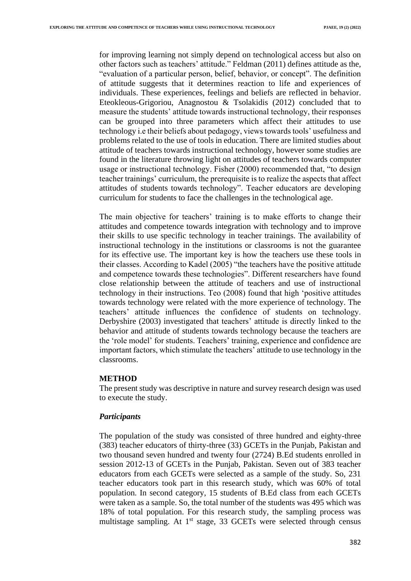for improving learning not simply depend on technological access but also on other factors such as teachers' attitude." Feldman (2011) defines attitude as the, "evaluation of a particular person, belief, behavior, or concept". The definition of attitude suggests that it determines reaction to life and experiences of individuals. These experiences, feelings and beliefs are reflected in behavior. Eteokleous-Grigoriou, Anagnostou & Tsolakidis (2012) concluded that to measure the students' attitude towards instructional technology, their responses can be grouped into three parameters which affect their attitudes to use technology i.e their beliefs about pedagogy, views towards tools' usefulness and problems related to the use of tools in education. There are limited studies about attitude of teachers towards instructional technology, however some studies are found in the literature throwing light on attitudes of teachers towards computer usage or instructional technology. Fisher (2000) recommended that, "to design teacher trainings' curriculum, the prerequisite is to realize the aspects that affect attitudes of students towards technology". Teacher educators are developing curriculum for students to face the challenges in the technological age.

The main objective for teachers' training is to make efforts to change their attitudes and competence towards integration with technology and to improve their skills to use specific technology in teacher trainings. The availability of instructional technology in the institutions or classrooms is not the guarantee for its effective use. The important key is how the teachers use these tools in their classes. According to Kadel (2005) "the teachers have the positive attitude and competence towards these technologies". Different researchers have found close relationship between the attitude of teachers and use of instructional technology in their instructions. Teo (2008) found that high 'positive attitudes towards technology were related with the more experience of technology. The teachers' attitude influences the confidence of students on technology. Derbyshire (2003) investigated that teachers' attitude is directly linked to the behavior and attitude of students towards technology because the teachers are the 'role model' for students. Teachers' training, experience and confidence are important factors, which stimulate the teachers' attitude to use technology in the classrooms.

#### **METHOD**

The present study was descriptive in nature and survey research design was used to execute the study.

#### *Participants*

The population of the study was consisted of three hundred and eighty-three (383) teacher educators of thirty-three (33) GCETs in the Punjab, Pakistan and two thousand seven hundred and twenty four (2724) B.Ed students enrolled in session 2012-13 of GCETs in the Punjab, Pakistan. Seven out of 383 teacher educators from each GCETs were selected as a sample of the study. So, 231 teacher educators took part in this research study, which was 60% of total population. In second category, 15 students of B.Ed class from each GCETs were taken as a sample. So, the total number of the students was 495 which was 18% of total population. For this research study, the sampling process was multistage sampling. At  $1<sup>st</sup>$  stage, 33 GCETs were selected through census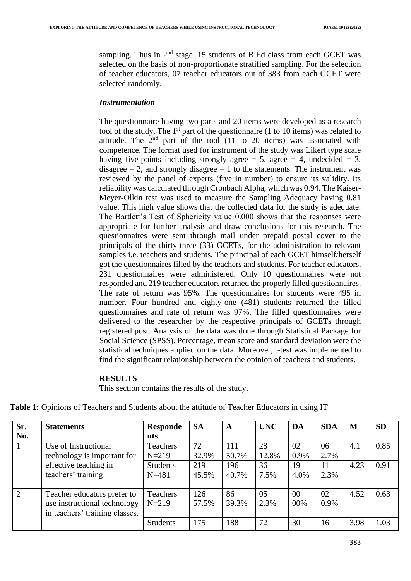sampling. Thus in  $2<sup>nd</sup>$  stage, 15 students of B.Ed class from each GCET was selected on the basis of non-proportionate stratified sampling. For the selection of teacher educators, 07 teacher educators out of 383 from each GCET were selected randomly.

#### *Instrumentation*

The questionnaire having two parts and 20 items were developed as a research tool of the study. The  $1<sup>st</sup>$  part of the questionnaire (1 to 10 items) was related to attitude. The  $2<sup>nd</sup>$  part of the tool (11 to 20 items) was associated with competence. The format used for instrument of the study was Likert type scale having five-points including strongly agree = 5, agree = 4, undecided = 3, disagree  $= 2$ , and strongly disagree  $= 1$  to the statements. The instrument was reviewed by the panel of experts (five in number) to ensure its validity. Its reliability was calculated through Cronbach Alpha, which was 0.94. The Kaiser-Meyer-Olkin test was used to measure the Sampling Adequacy having 0.81 value. This high value shows that the collected data for the study is adequate. The Bartlett's Test of Sphericity value 0.000 shows that the responses were appropriate for further analysis and draw conclusions for this research. The questionnaires were sent through mail under prepaid postal cover to the principals of the thirty-three (33) GCETs, for the administration to relevant samples i.e. teachers and students. The principal of each GCET himself/herself got the questionnaires filled by the teachers and students. For teacher educators, 231 questionnaires were administered. Only 10 questionnaires were not responded and 219 teacher educators returned the properly filled questionnaires. The rate of return was 95%. The questionnaires for students were 495 in number. Four hundred and eighty-one (481) students returned the filled questionnaires and rate of return was 97%. The filled questionnaires were delivered to the researcher by the respective principals of GCETs through registered post. Analysis of the data was done through Statistical Package for Social Science (SPSS). Percentage, mean score and standard deviation were the statistical techniques applied on the data. Moreover, t-test was implemented to find the significant relationship between the opinion of teachers and students.

#### **RESULTS**

This section contains the results of the study.

| Sr. | <b>Statements</b>              | <b>Responde</b> | <b>SA</b> | $\mathbf A$ | <b>UNC</b> | DA     | <b>SDA</b> | M    | <b>SD</b> |
|-----|--------------------------------|-----------------|-----------|-------------|------------|--------|------------|------|-----------|
| No. |                                | nts             |           |             |            |        |            |      |           |
| 1   | Use of Instructional           | <b>Teachers</b> | 72        | 111         | 28         | 02     | 06         | 4.1  | 0.85      |
|     | technology is important for    | $N = 219$       | 32.9%     | 50.7%       | 12.8%      | 0.9%   | 2.7%       |      |           |
|     | effective teaching in          | Students        | 219       | 196         | 36         | 19     | 11         | 4.23 | 0.91      |
|     | teachers' training.            | $N = 481$       | 45.5%     | 40.7%       | 7.5%       | 4.0%   | 2.3%       |      |           |
|     |                                |                 |           |             |            |        |            |      |           |
| 2   | Teacher educators prefer to    | Teachers        | 126       | 86          | 05         | $00\,$ | 02         | 4.52 | 0.63      |
|     | use instructional technology   | $N = 219$       | 57.5%     | 39.3%       | 2.3%       | 00%    | 0.9%       |      |           |
|     | in teachers' training classes. |                 |           |             |            |        |            |      |           |
|     |                                | <b>Students</b> | 175       | 188         | 72         | 30     | 16         | 3.98 | 1.03      |
|     |                                |                 |           |             |            |        |            |      |           |

Table 1: Opinions of Teachers and Students about the attitude of Teacher Educators in using IT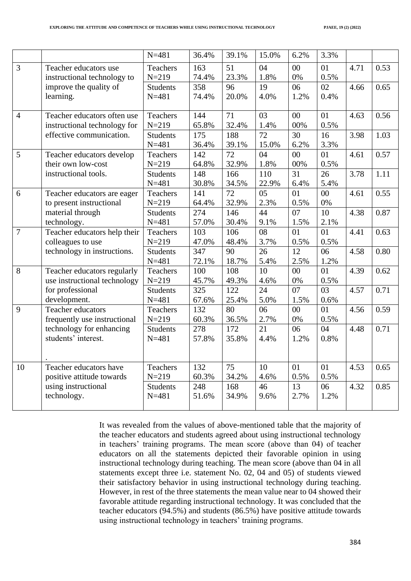|                |                                                             | $N = 481$                    | 36.4%        | 39.1%        | 15.0%        | 6.2%             | 3.3%        |      |      |
|----------------|-------------------------------------------------------------|------------------------------|--------------|--------------|--------------|------------------|-------------|------|------|
| 3              | Teacher educators use<br>instructional technology to        | Teachers<br>$N = 219$        | 163<br>74.4% | 51<br>23.3%  | 04<br>1.8%   | 00<br>$0\%$      | 01<br>0.5%  | 4.71 | 0.53 |
|                | improve the quality of<br>learning.                         | <b>Students</b><br>$N = 481$ | 358<br>74.4% | 96<br>20.0%  | 19<br>4.0%   | 06<br>1.2%       | 02<br>0.4%  | 4.66 | 0.65 |
| $\overline{4}$ | Teacher educators often use<br>instructional technology for | Teachers<br>$N = 219$        | 144<br>65.8% | 71<br>32.4%  | 03<br>1.4%   | 00<br>00%        | 01<br>0.5%  | 4.63 | 0.56 |
|                | effective communication.                                    | <b>Students</b><br>$N = 481$ | 175<br>36.4% | 188<br>39.1% | 72<br>15.0%  | 30<br>6.2%       | 16<br>3.3%  | 3.98 | 1.03 |
| 5              | Teacher educators develop<br>their own low-cost             | <b>Teachers</b><br>$N = 219$ | 142<br>64.8% | 72<br>32.9%  | 04<br>1.8%   | $00\,$<br>$00\%$ | 01<br>0.5%  | 4.61 | 0.57 |
|                | instructional tools.                                        | <b>Students</b><br>$N = 481$ | 148<br>30.8% | 166<br>34.5% | 110<br>22.9% | 31<br>6.4%       | 26<br>5.4%  | 3.78 | 1.11 |
| 6              | Teacher educators are eager<br>to present instructional     | <b>Teachers</b><br>$N = 219$ | 141<br>64.4% | 72<br>32.9%  | 05<br>2.3%   | 01<br>0.5%       | 00<br>$0\%$ | 4.61 | 0.55 |
|                | material through<br>technology.                             | <b>Students</b><br>$N = 481$ | 274<br>57.0% | 146<br>30.4% | 44<br>9.1%   | 07<br>1.5%       | 10<br>2.1%  | 4.38 | 0.87 |
| $\overline{7}$ | Teacher educators help their<br>colleagues to use           | Teachers<br>$N = 219$        | 103<br>47.0% | 106<br>48.4% | 08<br>3.7%   | 01<br>0.5%       | 01<br>0.5%  | 4.41 | 0.63 |
|                | technology in instructions.                                 | <b>Students</b><br>$N = 481$ | 347<br>72.1% | 90<br>18.7%  | 26<br>5.4%   | 12<br>2.5%       | 06<br>1.2%  | 4.58 | 0.80 |
| 8              | Teacher educators regularly<br>use instructional technology | <b>Teachers</b><br>$N = 219$ | 100<br>45.7% | 108<br>49.3% | 10<br>4.6%   | 00<br>$0\%$      | 01<br>0.5%  | 4.39 | 0.62 |
|                | for professional<br>development.                            | <b>Students</b><br>$N = 481$ | 325<br>67.6% | 122<br>25.4% | 24<br>5.0%   | 07<br>1.5%       | 03<br>0.6%  | 4.57 | 0.71 |
| 9              | Teacher educators<br>frequently use instructional           | Teachers<br>$N = 219$        | 132<br>60.3% | 80<br>36.5%  | 06<br>2.7%   | 00<br>$0\%$      | 01<br>0.5%  | 4.56 | 0.59 |
|                | technology for enhancing<br>students' interest.             | <b>Students</b><br>$N = 481$ | 278<br>57.8% | 172<br>35.8% | 21<br>4.4%   | 06<br>1.2%       | 04<br>0.8%  | 4.48 | 0.71 |
| 10             | Teacher educators have<br>positive attitude towards         | Teachers<br>$N = 219$        | 132<br>60.3% | 75<br>34.2%  | 10<br>4.6%   | 01<br>0.5%       | 01<br>0.5%  | 4.53 | 0.65 |
|                | using instructional<br>technology.                          | <b>Students</b><br>$N = 481$ | 248<br>51.6% | 168<br>34.9% | 46<br>9.6%   | 13<br>2.7%       | 06<br>1.2%  | 4.32 | 0.85 |

It was revealed from the values of above-mentioned table that the majority of the teacher educators and students agreed about using instructional technology in teachers' training programs. The mean score (above than 04) of teacher educators on all the statements depicted their favorable opinion in using instructional technology during teaching. The mean score (above than 04 in all statements except three i.e. statement No. 02, 04 and 05) of students viewed their satisfactory behavior in using instructional technology during teaching. However, in rest of the three statements the mean value near to 04 showed their favorable attitude regarding instructional technology. It was concluded that the teacher educators (94.5%) and students (86.5%) have positive attitude towards using instructional technology in teachers' training programs.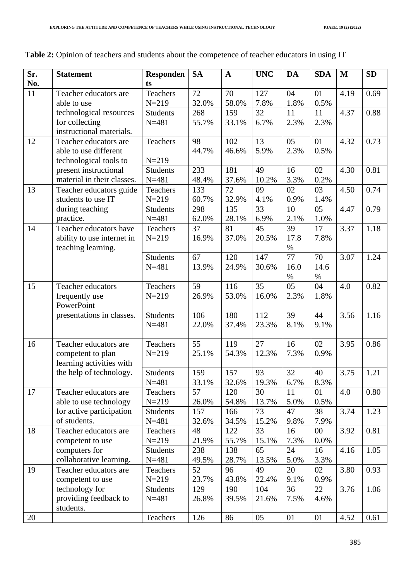| Sr. | <b>Statement</b>           | <b>Responden</b> | <b>SA</b> | $\mathbf{A}$ | <b>UNC</b> | <b>DA</b> | <b>SDA</b> | $\mathbf{M}$ | <b>SD</b> |
|-----|----------------------------|------------------|-----------|--------------|------------|-----------|------------|--------------|-----------|
| No. |                            | ts               |           |              |            |           |            |              |           |
| 11  | Teacher educators are      | Teachers         | 72        | 70           | 127        | 04        | 01         | 4.19         | 0.69      |
|     | able to use                | $N = 219$        | 32.0%     | 58.0%        | 7.8%       | 1.8%      | 0.5%       |              |           |
|     | technological resources    | <b>Students</b>  | 268       | 159          | 32         | 11        | 11         | 4.37         | 0.88      |
|     | for collecting             | $N = 481$        | 55.7%     | 33.1%        | 6.7%       | 2.3%      | 2.3%       |              |           |
|     | instructional materials.   |                  |           |              |            |           |            |              |           |
| 12  | Teacher educators are      | Teachers         | 98        | 102          | 13         | 05        | 01         | 4.32         | 0.73      |
|     | able to use different      |                  | 44.7%     | 46.6%        | 5.9%       | 2.3%      | 0.5%       |              |           |
|     | technological tools to     | $N = 219$        |           |              |            |           |            |              |           |
|     | present instructional      | <b>Students</b>  | 233       | 181          | 49         | 16        | 02         | 4.30         | 0.81      |
|     | material in their classes. | $N = 481$        | 48.4%     | 37.6%        | 10.2%      | 3.3%      | 0.2%       |              |           |
| 13  | Teacher educators guide    | Teachers         | 133       | 72           | 09         | 02        | 03         | 4.50         | 0.74      |
|     | students to use IT         | $N = 219$        | 60.7%     | 32.9%        | 4.1%       | 0.9%      | 1.4%       |              |           |
|     | during teaching            | <b>Students</b>  | 298       | 135          | 33         | 10        | 05         | 4.47         | 0.79      |
|     | practice.                  | $N = 481$        | 62.0%     | 28.1%        | 6.9%       | 2.1%      | 1.0%       |              |           |
| 14  | Teacher educators have     | Teachers         | 37        | 81           | 45         | 39        | 17         | 3.37         | 1.18      |
|     | ability to use internet in | $N = 219$        | 16.9%     | 37.0%        | 20.5%      | 17.8      | 7.8%       |              |           |
|     | teaching learning.         |                  |           |              |            | $\%$      |            |              |           |
|     |                            | <b>Students</b>  | 67        | 120          | 147        | 77        | 70         | 3.07         | 1.24      |
|     |                            | $N = 481$        | 13.9%     | 24.9%        | 30.6%      | 16.0      | 14.6       |              |           |
|     |                            |                  |           |              |            | $\%$      | $\%$       |              |           |
| 15  | Teacher educators          | Teachers         | 59        | 116          | 35         | 05        | 04         | 4.0          | 0.82      |
|     | frequently use             | $N = 219$        | 26.9%     | 53.0%        | 16.0%      | 2.3%      | 1.8%       |              |           |
|     | PowerPoint                 |                  |           |              |            |           |            |              |           |
|     | presentations in classes.  | <b>Students</b>  | 106       | 180          | 112        | 39        | 44         | 3.56         | 1.16      |
|     |                            | $N = 481$        | 22.0%     | 37.4%        | 23.3%      | 8.1%      | 9.1%       |              |           |
|     |                            |                  |           |              |            |           |            |              |           |
| 16  | Teacher educators are      | Teachers         | 55        | 119          | 27         | 16        | 02         | 3.95         | 0.86      |
|     | competent to plan          | $N = 219$        | 25.1%     | 54.3%        | 12.3%      | 7.3%      | 0.9%       |              |           |
|     | learning activities with   |                  |           |              |            |           |            |              |           |
|     | the help of technology.    | <b>Students</b>  | 159       | 157          | 93         | 32        | 40         | 3.75         | 1.21      |
|     |                            | $N = 481$        | 33.1%     | 32.6%        | 19.3%      | 6.7%      | 8.3%       |              |           |
| 17  | Teacher educators are      | Teachers         | 57        | 120          | 30         | 11        | 01         | 4.0          | 0.80      |
|     | able to use technology     | $N = 219$        | 26.0%     | 54.8%        | 13.7%      | 5.0%      | 0.5%       |              |           |
|     | for active participation   | <b>Students</b>  | 157       | 166          | 73         | 47        | 38         | 3.74         | 1.23      |
|     | of students.               | $N = 481$        | 32.6%     | 34.5%        | 15.2%      | 9.8%      | 7.9%       |              |           |
| 18  | Teacher educators are      | Teachers         | 48        | 122          | 33         | 16        | $00\,$     | 3.92         | 0.81      |
|     | competent to use           | $N = 219$        | 21.9%     | 55.7%        | 15.1%      | 7.3%      | 0.0%       |              |           |
|     | computers for              | <b>Students</b>  | 238       | 138          | 65         | 24        | 16         | 4.16         | 1.05      |
|     | collaborative learning.    | $N = 481$        | 49.5%     | 28.7%        | 13.5%      | 5.0%      | 3.3%       |              |           |
| 19  | Teacher educators are      | Teachers         | 52        | 96           | 49         | 20        | 02         | 3.80         | 0.93      |
|     | competent to use           | $N = 219$        | 23.7%     | 43.8%        | 22.4%      | 9.1%      | 0.9%       |              |           |
|     | technology for             | <b>Students</b>  | 129       | 190          | 104        | 36        | 22         | 3.76         | 1.06      |
|     | providing feedback to      | $N = 481$        | 26.8%     | 39.5%        | 21.6%      | 7.5%      | 4.6%       |              |           |
|     | students.                  |                  |           |              |            |           |            |              |           |
| 20  |                            | Teachers         | 126       | 86           | 05         | 01        | 01         | 4.52         | 0.61      |

|  | <b>Table 2:</b> Opinion of teachers and students about the competence of teacher educators in using IT |  |  |  |  |  |  |
|--|--------------------------------------------------------------------------------------------------------|--|--|--|--|--|--|
|--|--------------------------------------------------------------------------------------------------------|--|--|--|--|--|--|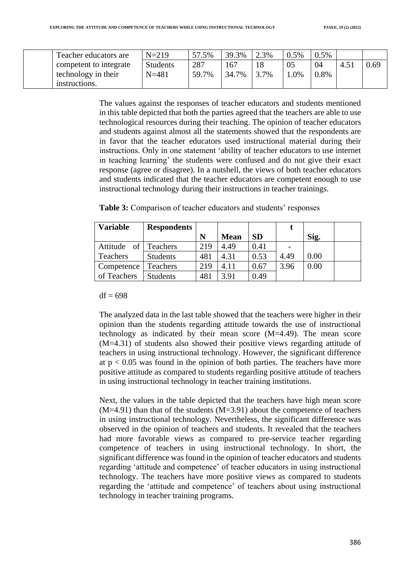| Teacher educators are  | $N = 219$       | 57.5% | 39.3% | 2.3% | 0.5%   | $0.5\%$ |               |      |
|------------------------|-----------------|-------|-------|------|--------|---------|---------------|------|
| competent to integrate | <b>Students</b> | 287   | 167   |      |        | 04      | $4.5^{\circ}$ | 0.69 |
| technology in their    | $N = 481$       | 59.7% | 34.7% | 3.7% | $.0\%$ | 0.8%    |               |      |
| instructions.          |                 |       |       |      |        |         |               |      |

The values against the responses of teacher educators and students mentioned in this table depicted that both the parties agreed that the teachers are able to use technological resources during their teaching. The opinion of teacher educators and students against almost all the statements showed that the respondents are in favor that the teacher educators used instructional material during their instructions. Only in one statement 'ability of teacher educators to use internet in teaching learning' the students were confused and do not give their exact response (agree or disagree). In a nutshell, the views of both teacher educators and students indicated that the teacher educators are competent enough to use instructional technology during their instructions in teacher trainings.

| <b>Variable</b> | <b>Respondents</b> |     |             |           |      |      |  |
|-----------------|--------------------|-----|-------------|-----------|------|------|--|
|                 |                    | N   | <b>Mean</b> | <b>SD</b> |      | Sig. |  |
| Attitude of     | Teachers           | 219 | 4.49        | 0.41      |      |      |  |
| Teachers        | <b>Students</b>    | 481 | 4.31        | 0.53      | 4.49 | 0.00 |  |
| Competence      | Teachers           | 219 | 4.11        | 0.67      | 3.96 | 0.00 |  |
| of Teachers     | <b>Students</b>    | 481 | 3.91        | 0.49      |      |      |  |

|  |  |  |  |  |  |  |  |  |  | <b>Table 3:</b> Comparison of teacher educators and students' responses |
|--|--|--|--|--|--|--|--|--|--|-------------------------------------------------------------------------|
|--|--|--|--|--|--|--|--|--|--|-------------------------------------------------------------------------|

#### $df = 698$

The analyzed data in the last table showed that the teachers were higher in their opinion than the students regarding attitude towards the use of instructional technology as indicated by their mean score (M=4.49). The mean score (M=4.31) of students also showed their positive views regarding attitude of teachers in using instructional technology. However, the significant difference at  $p < 0.05$  was found in the opinion of both parties. The teachers have more positive attitude as compared to students regarding positive attitude of teachers in using instructional technology in teacher training institutions.

Next, the values in the table depicted that the teachers have high mean score  $(M=4.91)$  than that of the students  $(M=3.91)$  about the competence of teachers in using instructional technology. Nevertheless, the significant difference was observed in the opinion of teachers and students. It revealed that the teachers had more favorable views as compared to pre-service teacher regarding competence of teachers in using instructional technology. In short, the significant difference was found in the opinion of teacher educators and students regarding 'attitude and competence' of teacher educators in using instructional technology. The teachers have more positive views as compared to students regarding the 'attitude and competence' of teachers about using instructional technology in teacher training programs.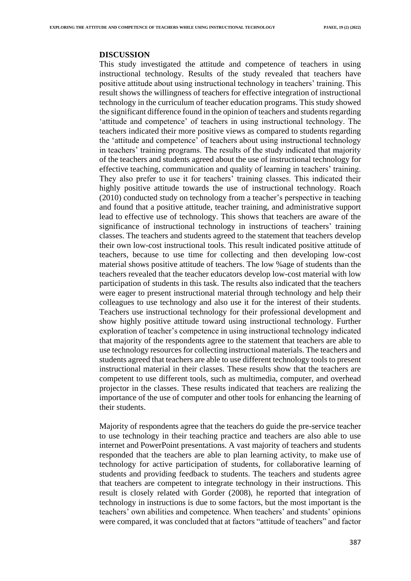#### **DISCUSSION**

This study investigated the attitude and competence of teachers in using instructional technology. Results of the study revealed that teachers have positive attitude about using instructional technology in teachers' training. This result shows the willingness of teachers for effective integration of instructional technology in the curriculum of teacher education programs. This study showed the significant difference found in the opinion of teachers and students regarding 'attitude and competence' of teachers in using instructional technology. The teachers indicated their more positive views as compared to students regarding the 'attitude and competence' of teachers about using instructional technology in teachers' training programs. The results of the study indicated that majority of the teachers and students agreed about the use of instructional technology for effective teaching, communication and quality of learning in teachers' training. They also prefer to use it for teachers' training classes. This indicated their highly positive attitude towards the use of instructional technology. Roach (2010) conducted study on technology from a teacher's perspective in teaching and found that a positive attitude, teacher training, and administrative support lead to effective use of technology. This shows that teachers are aware of the significance of instructional technology in instructions of teachers' training classes. The teachers and students agreed to the statement that teachers develop their own low-cost instructional tools. This result indicated positive attitude of teachers, because to use time for collecting and then developing low-cost material shows positive attitude of teachers. The low %age of students than the teachers revealed that the teacher educators develop low-cost material with low participation of students in this task. The results also indicated that the teachers were eager to present instructional material through technology and help their colleagues to use technology and also use it for the interest of their students. Teachers use instructional technology for their professional development and show highly positive attitude toward using instructional technology. Further exploration of teacher's competence in using instructional technology indicated that majority of the respondents agree to the statement that teachers are able to use technology resources for collecting instructional materials. The teachers and students agreed that teachers are able to use different technology tools to present instructional material in their classes. These results show that the teachers are competent to use different tools, such as multimedia, computer, and overhead projector in the classes. These results indicated that teachers are realizing the importance of the use of computer and other tools for enhancing the learning of their students.

Majority of respondents agree that the teachers do guide the pre-service teacher to use technology in their teaching practice and teachers are also able to use internet and PowerPoint presentations. A vast majority of teachers and students responded that the teachers are able to plan learning activity, to make use of technology for active participation of students, for collaborative learning of students and providing feedback to students. The teachers and students agree that teachers are competent to integrate technology in their instructions. This result is closely related with Gorder (2008), he reported that integration of technology in instructions is due to some factors, but the most important is the teachers' own abilities and competence. When teachers' and students' opinions were compared, it was concluded that at factors "attitude of teachers" and factor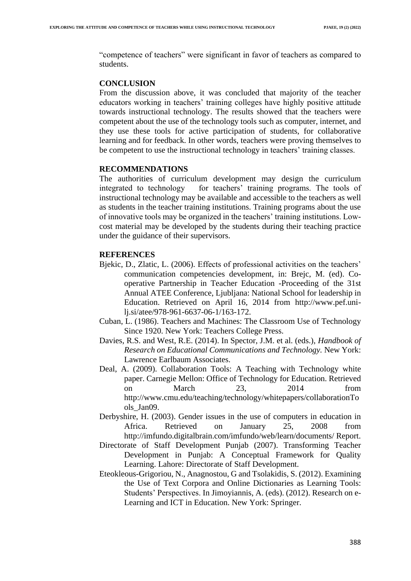"competence of teachers" were significant in favor of teachers as compared to students.

#### **CONCLUSION**

From the discussion above, it was concluded that majority of the teacher educators working in teachers' training colleges have highly positive attitude towards instructional technology. The results showed that the teachers were competent about the use of the technology tools such as computer, internet, and they use these tools for active participation of students, for collaborative learning and for feedback. In other words, teachers were proving themselves to be competent to use the instructional technology in teachers' training classes.

#### **RECOMMENDATIONS**

The authorities of curriculum development may design the curriculum integrated to technology for teachers' training programs. The tools of instructional technology may be available and accessible to the teachers as well as students in the teacher training institutions. Training programs about the use of innovative tools may be organized in the teachers' training institutions. Lowcost material may be developed by the students during their teaching practice under the guidance of their supervisors.

#### **REFERENCES**

- Bjekic, D., Zlatic, L. (2006). Effects of professional activities on the teachers' communication competencies development, in: Brejc, M. (ed). Cooperative Partnership in Teacher Education -Proceeding of the 31st Annual ATEE Conference, Ljubljana: National School for leadership in Education. Retrieved on April 16, 2014 from http://www.pef.unilj.si/atee/978-961-6637-06-1/163-172.
- Cuban, L. (1986). Teachers and Machines: The Classroom Use of Technology Since 1920. New York: Teachers College Press.
- Davies, R.S. and West, R.E. (2014). In Spector, J.M. et al. (eds.), *Handbook of Research on Educational Communications and Technology.* New York: Lawrence Earlbaum Associates.
- Deal, A. (2009). Collaboration Tools: A Teaching with Technology white paper. Carnegie Mellon: Office of Technology for Education. Retrieved on March 23, 2014 from [http://www.cmu.edu/teaching/technology/whitepapers/c](http://www.cmu.edu/teaching/technology/whitepapers/)ollaborationTo ols\_Jan09.
- Derbyshire, H. (2003). Gender issues in the use of computers in education in Africa. Retrieved on January 25, 2008 from http://imfundo.digitalbrain.com/imfundo/web/learn/documents/ Report.
- Directorate of Staff Development Punjab (2007). Transforming Teacher Development in Punjab: A Conceptual Framework for Quality Learning. Lahore: Directorate of Staff Development.
- Eteokleous-Grigoriou, N., Anagnostou, G and Tsolakidis, S. (2012). Examining the Use of Text Corpora and Online Dictionaries as Learning Tools: Students' Perspectives. In Jimoyiannis, A. (eds). (2012). Research on e-Learning and ICT in Education. New York: Springer.